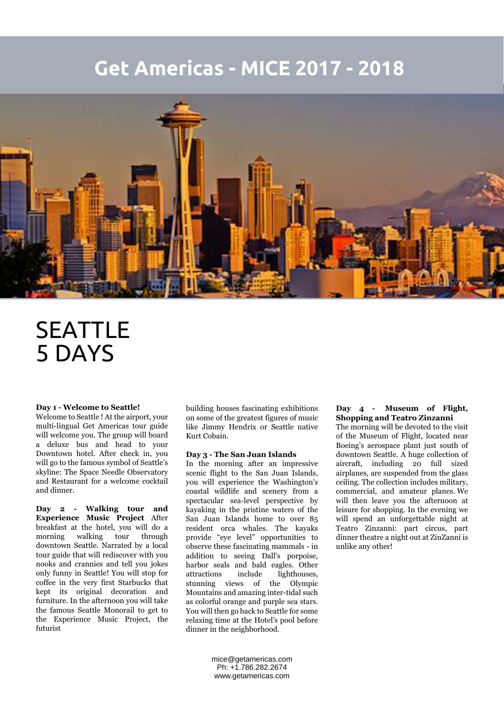## **Get Americas - MICE 2017 - 2018**



# SEATTLE 5 DAYS

#### **Day 1 - Welcome to Seattle!**

Welcome to Seattle ! At the airport, your multi-lingual Get Americas tour guide will welcome you. The group will board a deluxe bus and head to your Downtown hotel. After check in, you will go to the famous symbol of Seattle's skyline: The Space Needle Observatory and Restaurant for a welcome cocktail and dinner.

**Day 2 - Walking tour and Experience Music Project** After breakfast at the hotel, you will do a morning walking tour through downtown Seattle. Narrated by a local tour guide that will rediscover with you nooks and crannies and tell you jokes only funny in Seattle! You will stop for coffee in the very first Starbucks that kept its original decoration and furniture. In the afternoon you will take the famous Seattle Monorail to get to the Experience Music Project, the futurist

building houses fascinating exhibitions on some of the greatest figures of music like Jimmy Hendrix or Seattle native Kurt Cobain.

#### **Day 3 - The San Juan Islands**

In the morning after an impressive scenic flight to the San Juan Islands, you will experience the Washington's coastal wildlife and scenery from a spectacular sea-level perspective by kayaking in the pristine waters of the San Juan Islands home to over 85 resident orca whales. The kayaks provide "eye level" opportunities to observe these fascinating mammals - in addition to seeing Dall's porpoise, harbor seals and bald eagles. Other attractions include lighthouses, stunning views of the Olympic Mountains and amazing inter-tidal such as colorful orange and purple sea stars. You will then go back to Seattle for some relaxing time at the Hotel's pool before dinner in the neighborhood.

**Day 4 - Museum of Flight, Shopping and Teatro Zinzanni**

The morning will be devoted to the visit of the Museum of Flight, located near Boeing's aerospace plant just south of downtown Seattle. A huge collection of aircraft, including 20 full sized airplanes, are suspended from the glass ceiling. The collection includes military, commercial, and amateur planes. We will then leave you the afternoon at leisure for shopping. In the evening we will spend an unforgettable night at Teatro Zinzanni: part circus, part dinner theatre a night out at ZinZanni is unlike any other!

mice@getamericas.com Ph: +1.786.282.2674 www.getamericas.com